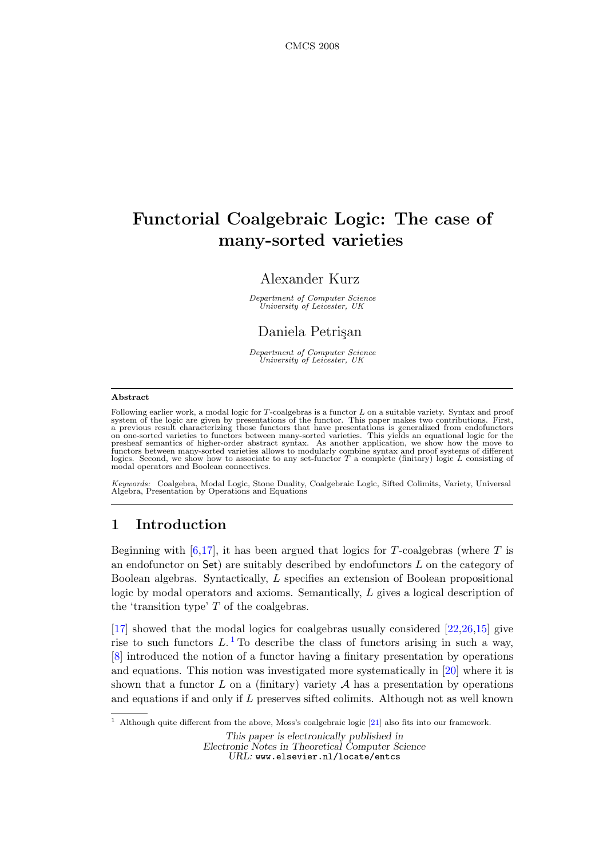# Functorial Coalgebraic Logic: The case of many-sorted varieties

# Alexander Kurz

Department of Computer Science University of Leicester, UK

# Daniela Petrisan

Department of Computer Science University of Leicester, UK

#### Abstract

Following earlier work, a modal logic for T-coalgebras is a functor L on a suitable variety. Syntax and proof system of the logic are given by presentations of the functor. This paper makes two contributions. First, a previous result characterizing those functors that have presentations is generalized from endofunctors on one-sor

Keywords: Coalgebra, Modal Logic, Stone Duality, Coalgebraic Logic, Sifted Colimits, Variety, Universal Algebra, Presentation by Operations and Equations

# 1 Introduction

Beginning with  $[6,17]$  $[6,17]$ , it has been argued that logics for T-coalgebras (where T is an endofunctor on Set) are suitably described by endofunctors L on the category of Boolean algebras. Syntactically, L specifies an extension of Boolean propositional logic by modal operators and axioms. Semantically, L gives a logical description of the 'transition type' T of the coalgebras.

[\[17\]](#page-18-0) showed that the modal logics for coalgebras usually considered [\[22,](#page-18-1)[26,](#page-18-2)[15\]](#page-18-3) give rise to such functors  $L$ .<sup>[1](#page-0-0)</sup> To describe the class of functors arising in such a way, [\[8\]](#page-17-1) introduced the notion of a functor having a finitary presentation by operations and equations. This notion was investigated more systematically in [\[20\]](#page-18-4) where it is shown that a functor  $L$  on a (finitary) variety  $A$  has a presentation by operations and equations if and only if L preserves sifted colimits. Although not as well known

<span id="page-0-0"></span><sup>1</sup> Although quite different from the above, Moss's coalgebraic logic [\[21\]](#page-18-5) also fits into our framework.

This paper is electronically published in Electronic Notes in Theoretical Computer Science URL: www.elsevier.nl/locate/entcs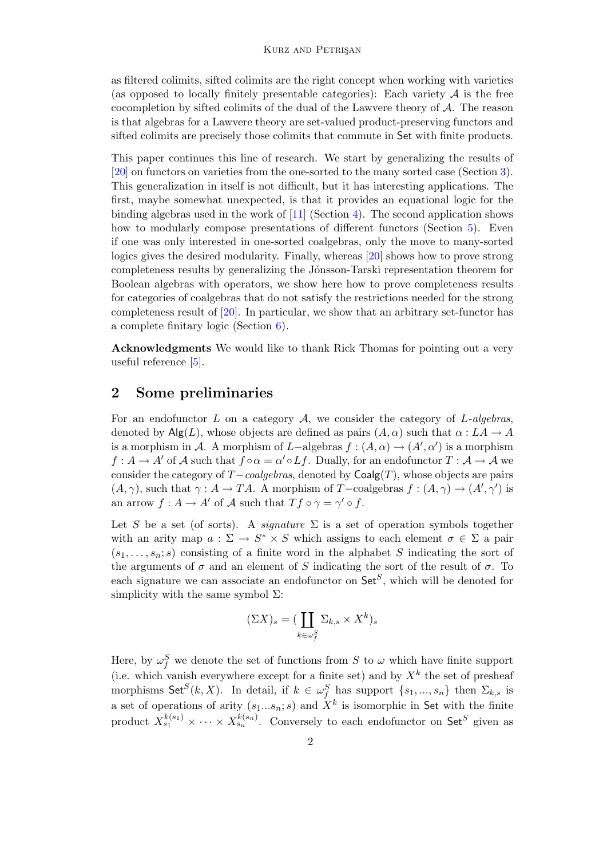as filtered colimits, sifted colimits are the right concept when working with varieties (as opposed to locally finitely presentable categories): Each variety  $A$  is the free cocompletion by sifted colimits of the dual of the Lawvere theory of  $A$ . The reason is that algebras for a Lawvere theory are set-valued product-preserving functors and sifted colimits are precisely those colimits that commute in Set with finite products.

This paper continues this line of research. We start by generalizing the results of [\[20\]](#page-18-4) on functors on varieties from the one-sorted to the many sorted case (Section [3\)](#page-3-0). This generalization in itself is not difficult, but it has interesting applications. The first, maybe somewhat unexpected, is that it provides an equational logic for the binding algebras used in the work of  $[11]$  (Section [4\)](#page-7-0). The second application shows how to modularly compose presentations of different functors (Section [5\)](#page-12-0). Even if one was only interested in one-sorted coalgebras, only the move to many-sorted logics gives the desired modularity. Finally, whereas [\[20\]](#page-18-4) shows how to prove strong completeness results by generalizing the Jónsson-Tarski representation theorem for Boolean algebras with operators, we show here how to prove completeness results for categories of coalgebras that do not satisfy the restrictions needed for the strong completeness result of [\[20\]](#page-18-4). In particular, we show that an arbitrary set-functor has a complete finitary logic (Section [6\)](#page-15-0).

Acknowledgments We would like to thank Rick Thomas for pointing out a very useful reference [\[5\]](#page-17-2).

## <span id="page-1-0"></span>2 Some preliminaries

For an endofunctor  $L$  on a category  $A$ , we consider the category of  $L$ -algebras, denoted by  $\mathsf{Alg}(L)$ , whose objects are defined as pairs  $(A, \alpha)$  such that  $\alpha : LA \to A$ is a morphism in A. A morphism of L-algebras  $f : (A, \alpha) \to (A', \alpha')$  is a morphism  $f: A \to A'$  of A such that  $f \circ \alpha = \alpha' \circ Lf$ . Dually, for an endofunctor  $T: A \to A$  we consider the category of  $T-coalgebras$ , denoted by  $Coalg(T)$ , whose objects are pairs  $(A, \gamma)$ , such that  $\gamma : A \to TA$ . A morphism of T-coalgebras  $f : (A, \gamma) \to (A', \gamma')$  is an arrow  $f: A \to A'$  of A such that  $Tf \circ \gamma = \gamma' \circ f$ .

Let S be a set (of sorts). A *signature*  $\Sigma$  is a set of operation symbols together with an arity map  $a: \Sigma \to S^* \times S$  which assigns to each element  $\sigma \in \Sigma$  a pair  $(s_1, \ldots, s_n; s)$  consisting of a finite word in the alphabet S indicating the sort of the arguments of  $\sigma$  and an element of S indicating the sort of the result of  $\sigma$ . To each signature we can associate an endofunctor on  $\mathsf{Set}^S$ , which will be denoted for simplicity with the same symbol  $\Sigma$ :

$$
(\Sigma X)_s = (\coprod_{k \in \omega_f^S} \Sigma_{k,s} \times X^k)_s
$$

Here, by  $\omega_f^S$  we denote the set of functions from S to  $\omega$  which have finite support (i.e. which vanish everywhere except for a finite set) and by  $X<sup>k</sup>$  the set of presheaf morphisms Set<sup>S</sup> $(k, X)$ . In detail, if  $k \in \omega_f^S$  has support  $\{s_1, ..., s_n\}$  then  $\Sigma_{k,s}$  is a set of operations of arity  $(s_1...s_n; s)$  and  $X^k$  is isomorphic in Set with the finite product  $X_{s_1}^{k(s_1)} \times \cdots \times X_{s_n}^{k(s_n)}$ . Conversely to each endofunctor on Set<sup>S</sup> given as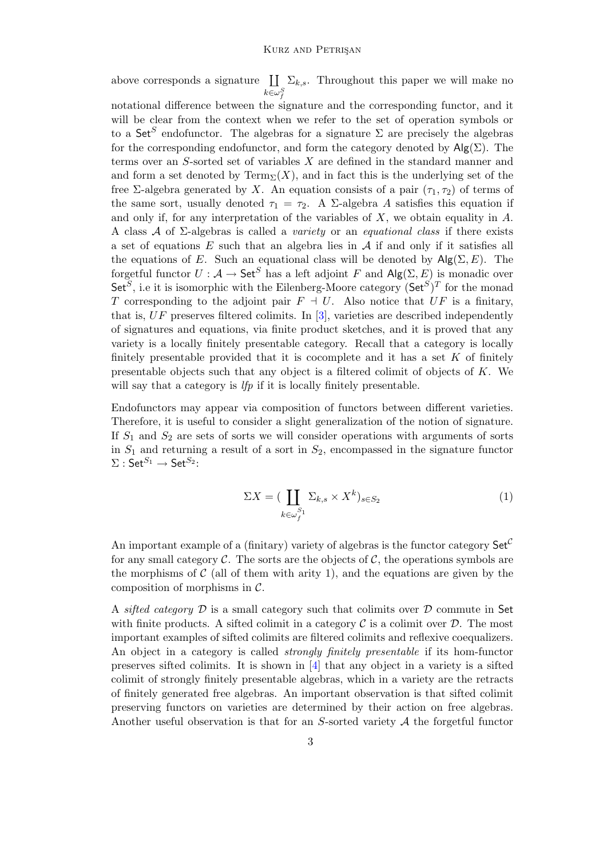above corresponds a signature  $\coprod \Sigma_{k,s}$ . Throughout this paper we will make no  $k \in \omega_f^S$ 

notational difference between the signature and the corresponding functor, and it will be clear from the context when we refer to the set of operation symbols or to a Set<sup>S</sup> endofunctor. The algebras for a signature  $\Sigma$  are precisely the algebras for the corresponding endofunctor, and form the category denoted by  $\mathsf{Alg}(\Sigma)$ . The terms over an S-sorted set of variables X are defined in the standard manner and and form a set denoted by  $Term_{\Sigma}(X)$ , and in fact this is the underlying set of the free Σ-algebra generated by X. An equation consists of a pair  $(\tau_1, \tau_2)$  of terms of the same sort, usually denoted  $\tau_1 = \tau_2$ . A  $\Sigma$ -algebra A satisfies this equation if and only if, for any interpretation of the variables of  $X$ , we obtain equality in  $A$ . A class  $\mathcal A$  of  $\Sigma$ -algebras is called a *variety* or an *equational class* if there exists a set of equations  $E$  such that an algebra lies in  $A$  if and only if it satisfies all the equations of E. Such an equational class will be denoted by  $\mathsf{Alg}(\Sigma, E)$ . The forgetful functor  $U : A \to \mathsf{Set}^S$  has a left adjoint F and  $\mathsf{Alg}(\Sigma, E)$  is monadic over  $\mathsf{Set}^S$ , i.e it is isomorphic with the Eilenberg-Moore category  $(\mathsf{Set}^S)^T$  for the monad T corresponding to the adjoint pair  $F \dashv U$ . Also notice that UF is a finitary, that is,  $UF$  preserves filtered colimits. In [\[3\]](#page-17-3), varieties are described independently of signatures and equations, via finite product sketches, and it is proved that any variety is a locally finitely presentable category. Recall that a category is locally finitely presentable provided that it is cocomplete and it has a set  $K$  of finitely presentable objects such that any object is a filtered colimit of objects of K. We will say that a category is *lfp* if it is locally finitely presentable.

<span id="page-2-0"></span>Endofunctors may appear via composition of functors between different varieties. Therefore, it is useful to consider a slight generalization of the notion of signature. If  $S_1$  and  $S_2$  are sets of sorts we will consider operations with arguments of sorts in  $S_1$  and returning a result of a sort in  $S_2$ , encompassed in the signature functor  $\Sigma:\mathsf{Set}^{S_1}\to\mathsf{Set}^{S_2}\text{:}$ 

$$
\Sigma X = (\coprod_{k \in \omega_f^{S_1}} \Sigma_{k,s} \times X^k)_{s \in S_2} \tag{1}
$$

An important example of a (finitary) variety of algebras is the functor category  $\mathsf{Set}^{\mathcal{C}}$ for any small category  $\mathcal C$ . The sorts are the objects of  $\mathcal C$ , the operations symbols are the morphisms of  $\mathcal C$  (all of them with arity 1), and the equations are given by the composition of morphisms in  $\mathcal{C}$ .

A sifted category  $\mathcal D$  is a small category such that colimits over  $\mathcal D$  commute in Set with finite products. A sifted colimit in a category  $\mathcal C$  is a colimit over  $\mathcal D$ . The most important examples of sifted colimits are filtered colimits and reflexive coequalizers. An object in a category is called strongly finitely presentable if its hom-functor preserves sifted colimits. It is shown in [\[4\]](#page-17-4) that any object in a variety is a sifted colimit of strongly finitely presentable algebras, which in a variety are the retracts of finitely generated free algebras. An important observation is that sifted colimit preserving functors on varieties are determined by their action on free algebras. Another useful observation is that for an  $S$ -sorted variety  $A$  the forgetful functor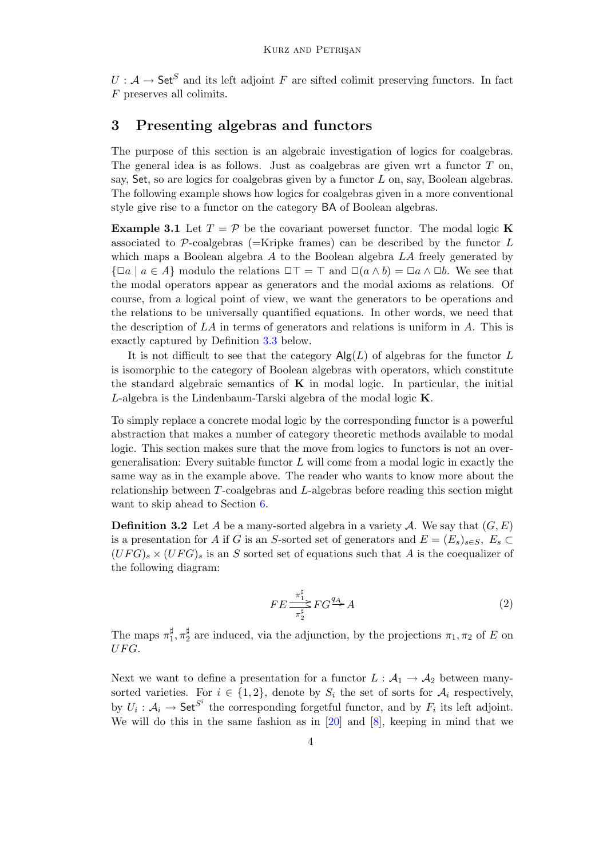$U: \mathcal{A} \to \mathsf{Set}^S$  and its left adjoint F are sifted colimit preserving functors. In fact F preserves all colimits.

## <span id="page-3-0"></span>3 Presenting algebras and functors

The purpose of this section is an algebraic investigation of logics for coalgebras. The general idea is as follows. Just as coalgebras are given wrt a functor  $T$  on, say, Set, so are logics for coalgebras given by a functor  $L$  on, say, Boolean algebras. The following example shows how logics for coalgebras given in a more conventional style give rise to a functor on the category BA of Boolean algebras.

**Example 3.1** Let  $T = \mathcal{P}$  be the covariant powerset functor. The modal logic **K** associated to  $\mathcal{P}$ -coalgebras (=Kripke frames) can be described by the functor L which maps a Boolean algebra  $A$  to the Boolean algebra  $LA$  freely generated by  $\{\Box a \mid a \in A\}$  modulo the relations  $\Box \top = \top$  and  $\Box(a \land b) = \Box a \land \Box b$ . We see that the modal operators appear as generators and the modal axioms as relations. Of course, from a logical point of view, we want the generators to be operations and the relations to be universally quantified equations. In other words, we need that the description of  $LA$  in terms of generators and relations is uniform in  $A$ . This is exactly captured by Definition [3.3](#page-4-0) below.

It is not difficult to see that the category  $\mathsf{Alg}(L)$  of algebras for the functor L is isomorphic to the category of Boolean algebras with operators, which constitute the standard algebraic semantics of  $\bf{K}$  in modal logic. In particular, the initial L-algebra is the Lindenbaum-Tarski algebra of the modal logic K.

To simply replace a concrete modal logic by the corresponding functor is a powerful abstraction that makes a number of category theoretic methods available to modal logic. This section makes sure that the move from logics to functors is not an overgeneralisation: Every suitable functor  $L$  will come from a modal logic in exactly the same way as in the example above. The reader who wants to know more about the relationship between T-coalgebras and L-algebras before reading this section might want to skip ahead to Section [6.](#page-15-0)

<span id="page-3-1"></span>**Definition 3.2** Let A be a many-sorted algebra in a variety A. We say that  $(G, E)$ is a presentation for A if G is an S-sorted set of generators and  $E = (E_s)_{s \in S}$ ,  $E_s \subset$  $(UFG)_s \times (UFG)_s$  is an S sorted set of equations such that A is the coequalizer of the following diagram:

$$
FE \frac{\pi_1^{\sharp}}{\pi_2^{\sharp}} FG \stackrel{q_A}{\longrightarrow} A \tag{2}
$$

The maps  $\pi_1^{\sharp}$  $_{1}^{\sharp},\pi_{2}^{\sharp}$  $\frac{1}{2}$  are induced, via the adjunction, by the projections  $\pi_1, \pi_2$  of E on  $UFG.$ 

Next we want to define a presentation for a functor  $L : A_1 \to A_2$  between manysorted varieties. For  $i \in \{1,2\}$ , denote by  $S_i$  the set of sorts for  $\mathcal{A}_i$  respectively, by  $U_i: \mathcal{A}_i \to \mathsf{Set}^{S^i}$  the corresponding forgetful functor, and by  $F_i$  its left adjoint. We will do this in the same fashion as in [\[20\]](#page-18-4) and [\[8\]](#page-17-1), keeping in mind that we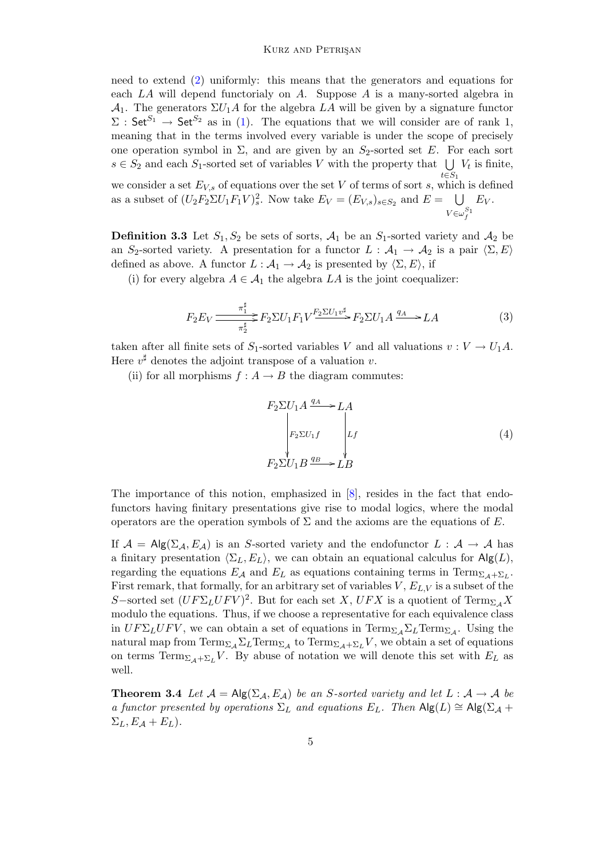need to extend [\(2\)](#page-3-1) uniformly: this means that the generators and equations for each LA will depend functorialy on A. Suppose A is a many-sorted algebra in  $\mathcal{A}_1$ . The generators  $\Sigma U_1 A$  for the algebra LA will be given by a signature functor  $\Sigma$ : Set<sup>S<sub>1</sub></sup>  $\rightarrow$  Set<sup>S<sub>2</sub></sup> as in [\(1\)](#page-2-0). The equations that we will consider are of rank 1, meaning that in the terms involved every variable is under the scope of precisely one operation symbol in  $\Sigma$ , and are given by an  $S_2$ -sorted set E. For each sort  $s \in S_2$  and each  $S_1$ -sorted set of variables V with the property that  $\bigcup V_t$  is finite,  $t\in S_1$ 

we consider a set  $E_{V,s}$  of equations over the set V of terms of sort s, which is defined as a subset of  $(U_2F_2\Sigma U_1F_1V)_s^2$ . Now take  $E_V = (E_{V,s})_{s \in S_2}$  and  $E = \bigcup$  $V \in \omega_f^{S_1}$  $E_V$ .

<span id="page-4-0"></span>**Definition 3.3** Let  $S_1, S_2$  be sets of sorts,  $A_1$  be an  $S_1$ -sorted variety and  $A_2$  be an S<sub>2</sub>-sorted variety. A presentation for a functor  $L : A_1 \to A_2$  is a pair  $\langle \Sigma, E \rangle$ defined as above. A functor  $L : A_1 \to A_2$  is presented by  $\langle \Sigma, E \rangle$ , if

<span id="page-4-1"></span>(i) for every algebra  $A \in \mathcal{A}_1$  the algebra  $LA$  is the joint coequalizer:

$$
F_2 E_V \frac{\pi_1^{\sharp}}{\pi_2^{\sharp}} F_2 \Sigma U_1 F_1 V \xrightarrow{\text{F}_2 \Sigma U_1 v^{\sharp}} F_2 \Sigma U_1 A \xrightarrow{q_A} LA \tag{3}
$$

taken after all finite sets of  $S_1$ -sorted variables V and all valuations  $v: V \to U_1 A$ . Here  $v^{\sharp}$  denotes the adjoint transpose of a valuation v.

<span id="page-4-2"></span>(ii) for all morphisms  $f : A \to B$  the diagram commutes:

$$
F_2 \Sigma U_1 A \xrightarrow{q_A} LA
$$
\n
$$
\begin{vmatrix}\nP_2 \Sigma U_1 f \\
F_2 \Sigma U_1 f\n\end{vmatrix} Lf
$$
\n
$$
F_2 \Sigma U_1 B \xrightarrow{q_B} LB
$$
\n(4)

The importance of this notion, emphasized in [\[8\]](#page-17-1), resides in the fact that endofunctors having finitary presentations give rise to modal logics, where the modal operators are the operation symbols of  $\Sigma$  and the axioms are the equations of E.

If  $A = Alg(\Sigma_A, E_A)$  is an S-sorted variety and the endofunctor  $L : A \rightarrow A$  has a finitary presentation  $\langle \Sigma_L, E_L \rangle$ , we can obtain an equational calculus for Alg(L), regarding the equations  $E_A$  and  $E_L$  as equations containing terms in Term $_{\Sigma_A+\Sigma_L}$ . First remark, that formally, for an arbitrary set of variables  $V, E_{L,V}$  is a subset of the S-sorted set  $(UF\Sigma_L UFV)^2$ . But for each set X,  $UFX$  is a quotient of  $\text{Term}_{\Sigma_{\mathcal{A}}}X$ modulo the equations. Thus, if we choose a representative for each equivalence class in  $UF\Sigma_L UFV$ , we can obtain a set of equations in  $\text{Term}_{\Sigma_{\mathcal{A}}} \Sigma_L \text{Term}_{\Sigma_{\mathcal{A}}}$ . Using the natural map from  $\mathrm{Term}_{\Sigma_{\mathcal{A}}} \Sigma_L \mathrm{Term}_{\Sigma_{\mathcal{A}}}$  to  $\mathrm{Term}_{\Sigma_{\mathcal{A}}+\Sigma_L} V$ , we obtain a set of equations on terms  $\text{Term}_{\Sigma_A+\Sigma_L}V$ . By abuse of notation we will denote this set with  $E_L$  as well.

<span id="page-4-3"></span>**Theorem 3.4** Let  $\mathcal{A} = \mathsf{Alg}(\Sigma_{\mathcal{A}}, E_{\mathcal{A}})$  be an S-sorted variety and let  $L : \mathcal{A} \to \mathcal{A}$  be a functor presented by operations  $\Sigma_L$  and equations  $E_L$ . Then  $\mathsf{Alg}(L) \cong \mathsf{Alg}(\Sigma_{\mathcal{A}} +$  $\Sigma_L, E_{\mathcal{A}} + E_L$ ).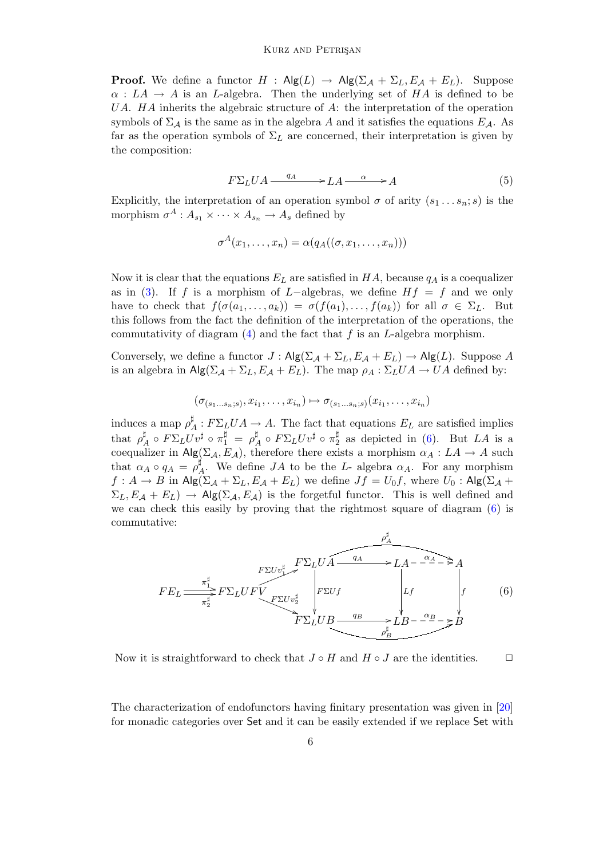**Proof.** We define a functor  $H : Alg(L) \rightarrow Alg(\Sigma_{\mathcal{A}} + \Sigma_{L}, E_{\mathcal{A}} + E_{L})$ . Suppose  $\alpha: LA \to A$  is an L-algebra. Then the underlying set of HA is defined to be UA.  $HA$  inherits the algebraic structure of A: the interpretation of the operation symbols of  $\Sigma_A$  is the same as in the algebra A and it satisfies the equations  $E_A$ . As far as the operation symbols of  $\Sigma_L$  are concerned, their interpretation is given by the composition:

$$
F\Sigma_L UA \xrightarrow{q_A} LA \xrightarrow{\alpha} A \tag{5}
$$

Explicitly, the interpretation of an operation symbol  $\sigma$  of arity  $(s_1 \ldots s_n; s)$  is the morphism  $\sigma^A: A_{s_1} \times \cdots \times A_{s_n} \to A_s$  defined by

$$
\sigma^A(x_1,\ldots,x_n)=\alpha(q_A((\sigma,x_1,\ldots,x_n)))
$$

Now it is clear that the equations  $E_L$  are satisfied in  $HA$ , because  $q_A$  is a coequalizer as in [\(3\)](#page-4-1). If f is a morphism of L-algebras, we define  $Hf = f$  and we only have to check that  $f(\sigma(a_1, \ldots, a_k)) = \sigma(f(a_1), \ldots, f(a_k))$  for all  $\sigma \in \Sigma_L$ . But this follows from the fact the definition of the interpretation of the operations, the commutativity of diagram  $(4)$  and the fact that f is an L-algebra morphism.

Conversely, we define a functor  $J : \mathsf{Alg}(\Sigma_{\mathcal{A}} + \Sigma_L, E_{\mathcal{A}} + E_L) \to \mathsf{Alg}(L)$ . Suppose A is an algebra in  $\mathsf{Alg}(\Sigma_{\mathcal{A}} + \Sigma_L, E_{\mathcal{A}} + E_L)$ . The map  $\rho_A : \Sigma_L U A \to U A$  defined by:

$$
(\sigma_{(s_1\ldots s_n;s)},x_{i_1},\ldots,x_{i_n})\mapsto \sigma_{(s_1\ldots s_n;s)}(x_{i_1},\ldots,x_{i_n})
$$

induces a map  $\rho^{\sharp}$  $A^{\mu}_{A}: F\Sigma_{L}UA \to A$ . The fact that equations  $E_{L}$  are satisfied implies that  $\rho^{\sharp}$  $\frac{\sharp}{A} \circ F \Sigma_L U v^{\sharp} \circ \pi_1^{\sharp} ~=~ \rho^{\sharp}$  $\sharp_A^\sharp \circ F\Sigma_L U v^\sharp \circ \pi_2^\sharp$  $2^{\frac{1}{2}}$  as depicted in [\(6\)](#page-5-0). But *LA* is a coequalizer in Alg( $\Sigma_{\mathcal{A}}, E_{\mathcal{A}}$ ), therefore there exists a morphism  $\alpha_A : LA \to A$  such that  $\alpha_A \circ q_A = \rho_A^{\sharp}$  $A^{\mu}$ . We define  $JA$  to be the L- algebra  $\alpha_A$ . For any morphism  $f: A \to B$  in Alg $(\Sigma_A + \Sigma_L, E_A + E_L)$  we define  $Jf = U_0 f$ , where  $U_0:$  Alg $(\Sigma_A +$  $\Sigma_L, E_{\mathcal{A}} + E_L$ )  $\rightarrow$  Alg( $\Sigma_{\mathcal{A}}, E_{\mathcal{A}}$ ) is the forgetful functor. This is well defined and we can check this easily by proving that the rightmost square of diagram [\(6\)](#page-5-0) is commutative:

<span id="page-5-0"></span>
$$
FE_L \xrightarrow{\pi_1^{\sharp}} F\Sigma_L UF \xrightarrow{\text{F\Sigma} U \cdot \text{F}^{\sharp}} F \Sigma_L U \overbrace{F\Sigma U \cdot \text{F}^{\sharp}}_{F\Sigma L U B} \xrightarrow{\text{qA}} L A - \frac{\alpha_A}{2} \rightarrow A
$$
\n
$$
F \Sigma_L U F \xrightarrow{\text{rS} U \cdot \text{F}^{\sharp}} L B - \frac{\alpha_B}{2} \rightarrow B
$$
\n
$$
B - \frac{\alpha_B}{2} \rightarrow B
$$
\n
$$
(6)
$$

Now it is straightforward to check that  $J \circ H$  and  $H \circ J$  are the identities.  $\Box$ 

The characterization of endofunctors having finitary presentation was given in [\[20\]](#page-18-4) for monadic categories over Set and it can be easily extended if we replace Set with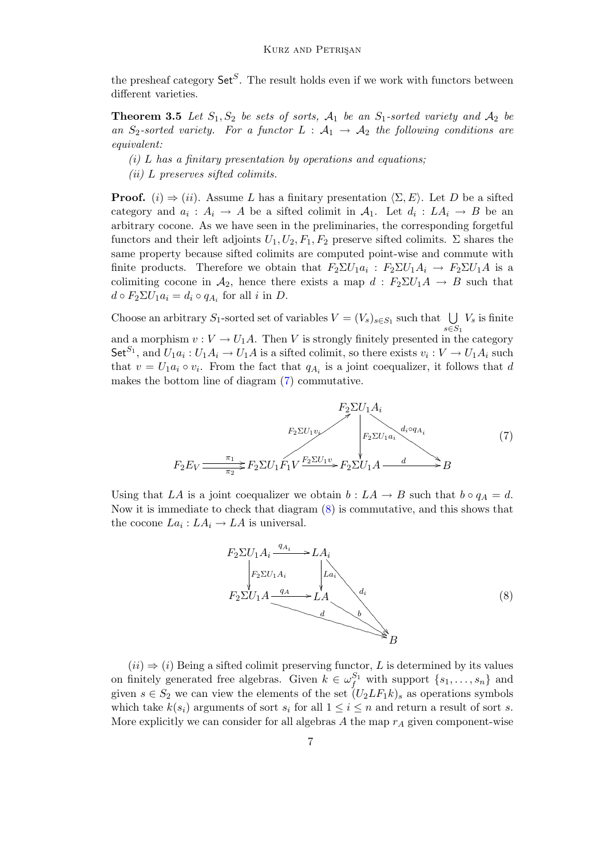the presheaf category  $\mathsf{Set}^S$ . The result holds even if we work with functors between different varieties.

<span id="page-6-2"></span>**Theorem 3.5** Let  $S_1, S_2$  be sets of sorts,  $A_1$  be an  $S_1$ -sorted variety and  $A_2$  be an  $S_2$ -sorted variety. For a functor  $L : A_1 \rightarrow A_2$  the following conditions are equivalent:

- $(i)$  L has a finitary presentation by operations and equations;
- (ii) L preserves sifted colimits.

**Proof.** (i)  $\Rightarrow$  (ii). Assume L has a finitary presentation  $\langle \Sigma, E \rangle$ . Let D be a sifted category and  $a_i: A_i \to A$  be a sifted colimit in  $A_1$ . Let  $d_i: LA_i \to B$  be an arbitrary cocone. As we have seen in the preliminaries, the corresponding forgetful functors and their left adjoints  $U_1, U_2, F_1, F_2$  preserve sifted colimits.  $\Sigma$  shares the same property because sifted colimits are computed point-wise and commute with finite products. Therefore we obtain that  $F_2 \Sigma U_1 a_i : F_2 \Sigma U_1 A_i \to F_2 \Sigma U_1 A$  is a colimiting cocone in  $A_2$ , hence there exists a map  $d : F_2 \Sigma U_1 A \rightarrow B$  such that  $d \circ F_2 \Sigma U_1 a_i = d_i \circ q_{A_i}$  for all *i* in *D*.

Choose an arbitrary S<sub>1</sub>-sorted set of variables  $V = (V_s)_{s \in S_1}$  such that  $\bigcup$  $s \in S_1$  $V_s$  is finite and a morphism  $v: V \to U_1A$ . Then V is strongly finitely presented in the category Set<sup>S<sub>1</sub></sup>, and  $U_1a_i: U_1A_i \to U_1A$  is a sifted colimit, so there exists  $v_i: V \to U_1A_i$  such that  $v = U_1 a_i \circ v_i$ . From the fact that  $q_{A_i}$  is a joint coequalizer, it follows that d makes the bottom line of diagram [\(7\)](#page-6-0) commutative.

<span id="page-6-0"></span>

Using that LA is a joint coequalizer we obtain  $b : LA \to B$  such that  $b \circ q_A = d$ . Now it is immediate to check that diagram [\(8\)](#page-6-1) is commutative, and this shows that the cocone  $La_i: LA_i \to LA$  is universal.

<span id="page-6-1"></span>

 $(ii) \Rightarrow (i)$  Being a sifted colimit preserving functor, L is determined by its values on finitely generated free algebras. Given  $k \in \omega_f^{S_1}$  with support  $\{s_1, \ldots, s_n\}$  and given  $s \in S_2$  we can view the elements of the set  $(U_2LF_1k)_s$  as operations symbols which take  $k(s_i)$  arguments of sort  $s_i$  for all  $1 \leq i \leq n$  and return a result of sort s. More explicitly we can consider for all algebras A the map  $r_A$  given component-wise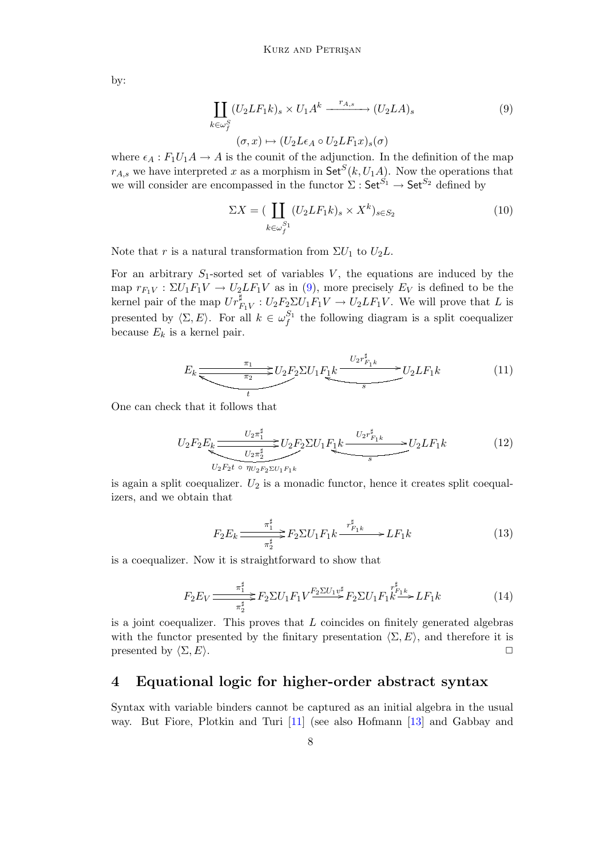<span id="page-7-1"></span>by:

$$
\coprod_{k \in \omega_f^S} (U_2 L F_1 k)_s \times U_1 A^k \xrightarrow{r_{A,s}} (U_2 L A)_s
$$
\n
$$
(\sigma, x) \mapsto (U_2 L \epsilon_A \circ U_2 L F_1 x)_s (\sigma)
$$
\n
$$
(9)
$$

where  $\epsilon_A : F_1U_1A \to A$  is the counit of the adjunction. In the definition of the map  $r_{A,s}$  we have interpreted x as a morphism in  $\mathsf{Set}^S(k, U_1A)$ . Now the operations that we will consider are encompassed in the functor  $\Sigma: \mathsf{Set}^{S_1} \to \mathsf{Set}^{S_2}$  defined by

$$
\Sigma X = \left( \coprod_{k \in \omega_f^{S_1}} (U_2 L F_1 k)_s \times X^k \right)_{s \in S_2} \tag{10}
$$

Note that r is a natural transformation from  $\Sigma U_1$  to  $U_2L$ .

For an arbitrary  $S_1$ -sorted set of variables V, the equations are induced by the map  $r_{F_1V} : \Sigma U_1F_1V \to U_2LF_1V$  as in [\(9\)](#page-7-1), more precisely  $E_V$  is defined to be the kernel pair of the map  $Ur_{F_1V}^{\sharp}: U_2F_2\Sigma U_1F_1V \to U_2LF_1V$ . We will prove that L is presented by  $\langle \Sigma, E \rangle$ . For all  $k \in \omega_f^{S_1}$  the following diagram is a split coequalizer because  $E_k$  is a kernel pair.

$$
E_k \frac{\pi_1}{\sqrt{\pi_2}} U_2 F_2 \Sigma U_1 F_1 k \frac{U_2 r_{F_1 k}^{\sharp}}{s} U_2 L F_1 k \tag{11}
$$

One can check that it follows that

$$
U_2F_2E_k \xrightarrow{U_2\pi_1^{\sharp}} U_2F_2\Sigma U_1F_1k \xrightarrow{U_2r_{F_1k}^{\sharp}} U_2LF_1k
$$
\n
$$
(12)
$$
\n
$$
U_2F_2t \circ \eta_{U_2F_2\Sigma U_1F_1k}
$$

is again a split coequalizer.  $U_2$  is a monadic functor, hence it creates split coequalizers, and we obtain that

$$
F_2 E_k \frac{\pi_1^{\sharp}}{\pi_2^{\sharp}} F_2 \Sigma U_1 F_1 k \xrightarrow{\ r_{F_1 k}^{\sharp}} L F_1 k \tag{13}
$$

is a coequalizer. Now it is straightforward to show that

$$
F_2 E_V \frac{\pi_1^{\sharp}}{\pi_2^{\sharp}} F_2 \Sigma U_1 F_1 V \frac{F_2 \Sigma U_1 v^{\sharp}}{\Sigma} F_2 \Sigma U_1 F_1 k \stackrel{r_{F_1 k}^{\sharp}}{\longrightarrow} L F_1 k \tag{14}
$$

is a joint coequalizer. This proves that  $L$  coincides on finitely generated algebras with the functor presented by the finitary presentation  $\langle \Sigma, E \rangle$ , and therefore it is presented by  $\langle \Sigma, E \rangle$ .

#### <span id="page-7-0"></span>4 Equational logic for higher-order abstract syntax

Syntax with variable binders cannot be captured as an initial algebra in the usual way. But Fiore, Plotkin and Turi [\[11\]](#page-18-6) (see also Hofmann [\[13\]](#page-18-7) and Gabbay and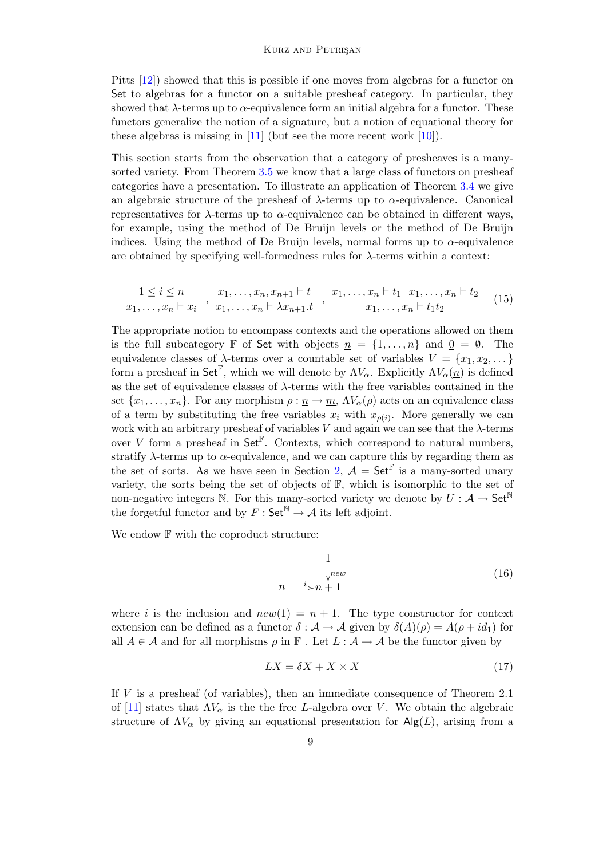Pitts [\[12\]](#page-18-8)) showed that this is possible if one moves from algebras for a functor on Set to algebras for a functor on a suitable presheaf category. In particular, they showed that  $\lambda$ -terms up to  $\alpha$ -equivalence form an initial algebra for a functor. These functors generalize the notion of a signature, but a notion of equational theory for these algebras is missing in  $[11]$  (but see the more recent work  $[10]$ ).

This section starts from the observation that a category of presheaves is a many-sorted variety. From Theorem [3.5](#page-6-2) we know that a large class of functors on presheaf categories have a presentation. To illustrate an application of Theorem [3.4](#page-4-3) we give an algebraic structure of the presheaf of  $\lambda$ -terms up to  $\alpha$ -equivalence. Canonical representatives for  $\lambda$ -terms up to  $\alpha$ -equivalence can be obtained in different ways, for example, using the method of De Bruijn levels or the method of De Bruijn indices. Using the method of De Bruijn levels, normal forms up to  $\alpha$ -equivalence are obtained by specifying well-formedness rules for  $\lambda$ -terms within a context:

$$
\frac{1 \leq i \leq n}{x_1, \ldots, x_n \vdash x_i} \; , \; \frac{x_1, \ldots, x_n, x_{n+1} \vdash t}{x_1, \ldots, x_n \vdash \lambda x_{n+1} \cdot t} \; , \; \frac{x_1, \ldots, x_n \vdash t_1 \; x_1, \ldots, x_n \vdash t_2}{x_1, \ldots, x_n \vdash t_1 t_2} \qquad (15)
$$

The appropriate notion to encompass contexts and the operations allowed on them is the full subcategory F of Set with objects  $n = \{1, \ldots, n\}$  and  $0 = \emptyset$ . The equivalence classes of  $\lambda$ -terms over a countable set of variables  $V = \{x_1, x_2, \dots\}$ form a presheaf in Set<sup>F</sup>, which we will denote by  $\Lambda V_{\alpha}$ . Explicitly  $\Lambda V_{\alpha}(\underline{n})$  is defined as the set of equivalence classes of  $\lambda$ -terms with the free variables contained in the set  $\{x_1, \ldots, x_n\}$ . For any morphism  $\rho : \underline{n} \to \underline{m}$ ,  $\Lambda V_\alpha(\rho)$  acts on an equivalence class of a term by substituting the free variables  $x_i$  with  $x_{\rho(i)}$ . More generally we can work with an arbitrary presheaf of variables V and again we can see that the  $\lambda$ -terms over V form a presheaf in Set<sup> $\mathbb{F}$ </sup>. Contexts, which correspond to natural numbers, stratify  $\lambda$ -terms up to  $\alpha$ -equivalence, and we can capture this by regarding them as the set of sorts. As we have seen in Section [2,](#page-1-0)  $\mathcal{A} = \mathsf{Set}^{\mathbb{F}}$  is a many-sorted unary variety, the sorts being the set of objects of  $\mathbb{F}$ , which is isomorphic to the set of non-negative integers N. For this many-sorted variety we denote by  $U : \mathcal{A} \to \mathsf{Set}^{\mathbb{N}}$ the forgetful functor and by  $F : \mathsf{Set}^{\mathbb{N}} \to \mathcal{A}$  its left adjoint.

We endow  $\mathbb F$  with the coproduct structure:

$$
\frac{1}{\sqrt{new}}\tag{16}
$$
\n
$$
\underline{n} \xrightarrow{i} \underline{n+1}
$$

where i is the inclusion and  $new(1) = n + 1$ . The type constructor for context extension can be defined as a functor  $\delta : \mathcal{A} \to \mathcal{A}$  given by  $\delta(A)(\rho) = A(\rho + id_1)$  for all  $A \in \mathcal{A}$  and for all morphisms  $\rho$  in  $\mathbb{F}$ . Let  $L : \mathcal{A} \to \mathcal{A}$  be the functor given by

$$
LX = \delta X + X \times X \tag{17}
$$

If V is a presheaf (of variables), then an immediate consequence of Theorem 2.1 of [\[11\]](#page-18-6) states that  $\Lambda V_{\alpha}$  is the the free L-algebra over V. We obtain the algebraic structure of  $\Lambda V_{\alpha}$  by giving an equational presentation for  $\mathsf{Alg}(L)$ , arising from a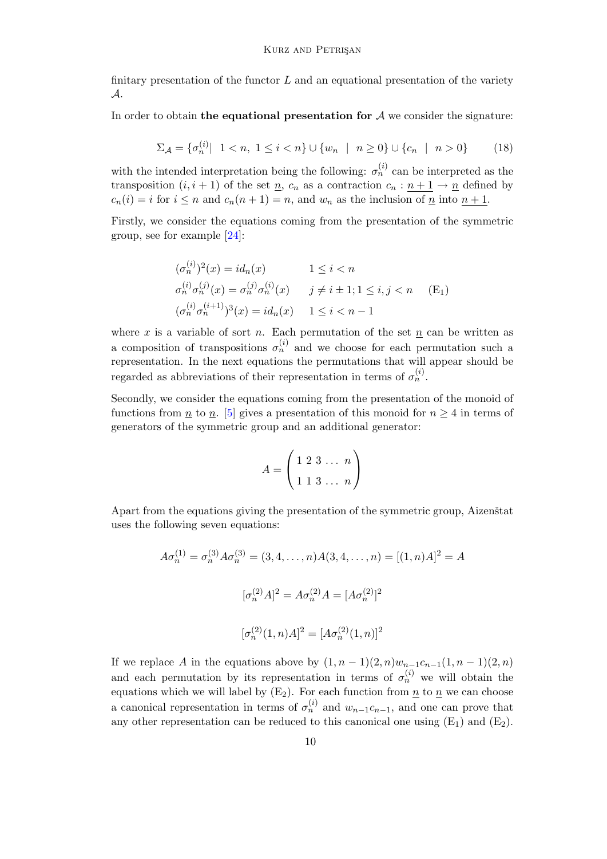finitary presentation of the functor  $L$  and an equational presentation of the variety A.

In order to obtain the equational presentation for  $A$  we consider the signature:

$$
\Sigma_{\mathcal{A}} = \{ \sigma_n^{(i)} \mid 1 < n, \ 1 \le i < n \} \cup \{ w_n \mid n \ge 0 \} \cup \{ c_n \mid n > 0 \} \tag{18}
$$

with the intended interpretation being the following:  $\sigma_n^{(i)}$  can be interpreted as the transposition  $(i, i + 1)$  of the set  $\underline{n}$ ,  $c_n$  as a contraction  $c_n : n + 1 \rightarrow \underline{n}$  defined by  $c_n(i) = i$  for  $i \leq n$  and  $c_n(n+1) = n$ , and  $w_n$  as the inclusion of  $\underline{n}$  into  $n+1$ .

Firstly, we consider the equations coming from the presentation of the symmetric group, see for example [\[24\]](#page-18-10):

$$
(\sigma_n^{(i)})^2(x) = id_n(x) \qquad 1 \le i < n
$$
  
\n
$$
\sigma_n^{(i)} \sigma_n^{(j)}(x) = \sigma_n^{(j)} \sigma_n^{(i)}(x) \qquad j \ne i \pm 1; 1 \le i, j < n \qquad (E_1)
$$
  
\n
$$
(\sigma_n^{(i)} \sigma_n^{(i+1)})^3(x) = id_n(x) \qquad 1 \le i < n - 1
$$

where x is a variable of sort n. Each permutation of the set n can be written as a composition of transpositions  $\sigma_n^{(i)}$  and we choose for each permutation such a representation. In the next equations the permutations that will appear should be regarded as abbreviations of their representation in terms of  $\sigma_n^{(i)}$ .

Secondly, we consider the equations coming from the presentation of the monoid of functions from  $\underline{n}$  to  $\underline{n}$ . [\[5\]](#page-17-2) gives a presentation of this monoid for  $n \geq 4$  in terms of generators of the symmetric group and an additional generator:

$$
A = \begin{pmatrix} 1 & 2 & 3 & \dots & n \\ 1 & 1 & 3 & \dots & n \end{pmatrix}
$$

Apart from the equations giving the presentation of the symmetric group, Aizenstat uses the following seven equations:

$$
A\sigma_n^{(1)} = \sigma_n^{(3)} A\sigma_n^{(3)} = (3, 4, \dots, n)A(3, 4, \dots, n) = [(1, n)A]^2 = A
$$
  

$$
[\sigma_n^{(2)} A]^2 = A\sigma_n^{(2)} A = [A\sigma_n^{(2)}]^2
$$
  

$$
[\sigma_n^{(2)}(1, n)A]^2 = [A\sigma_n^{(2)}(1, n)]^2
$$

If we replace A in the equations above by  $(1, n-1)(2, n)w_{n-1}c_{n-1}(1, n-1)(2, n)$ and each permutation by its representation in terms of  $\sigma_n^{(i)}$  we will obtain the equations which we will label by  $(E_2)$ . For each function from  $\underline{n}$  to  $\underline{n}$  we can choose a canonical representation in terms of  $\sigma_n^{(i)}$  and  $w_{n-1}c_{n-1}$ , and one can prove that any other representation can be reduced to this canonical one using  $(E_1)$  and  $(E_2)$ .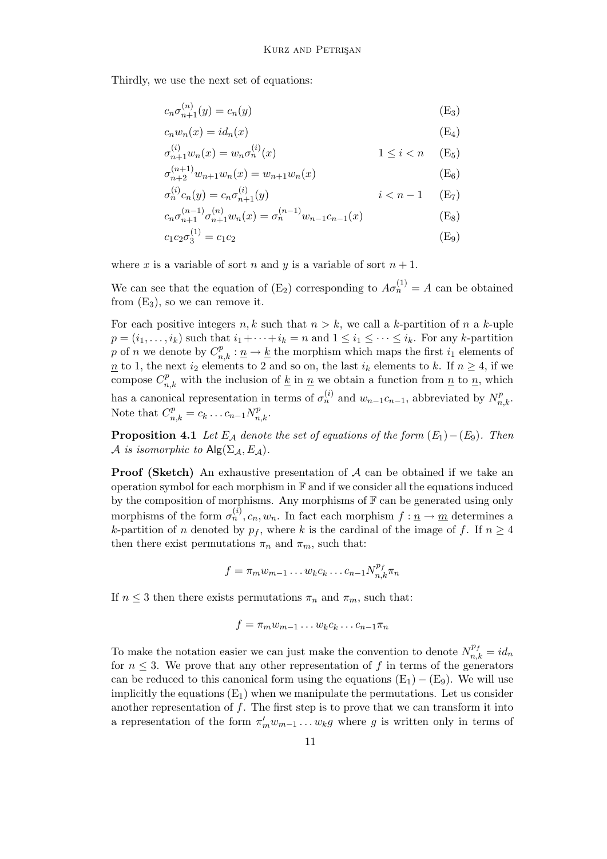Thirdly, we use the next set of equations:

$$
c_n \sigma_{n+1}^{(n)}(y) = c_n(y) \tag{E_3}
$$

$$
c_n w_n(x) = id_n(x) \tag{E_4}
$$

$$
\sigma_{n+1}^{(i)} w_n(x) = w_n \sigma_n^{(i)}(x) \qquad \qquad 1 \le i < n \quad \text{(E}_5)
$$

$$
\sigma_{n+2}^{(n+1)} w_{n+1} w_n(x) = w_{n+1} w_n(x) \tag{E_6}
$$

$$
\sigma_n^{(i)} c_n(y) = c_n \sigma_{n+1}^{(i)}(y) \qquad i < n - 1 \quad \text{(E}_7)
$$

$$
c_n \sigma_{n+1}^{(n-1)} \sigma_{n+1}^{(n)} w_n(x) = \sigma_n^{(n-1)} w_{n-1} c_{n-1}(x)
$$
 (E<sub>8</sub>)

$$
c_1 c_2 \sigma_3^{(1)} = c_1 c_2 \tag{E_9}
$$

where x is a variable of sort n and y is a variable of sort  $n + 1$ .

We can see that the equation of  $(E_2)$  corresponding to  $A\sigma_n^{(1)} = A$  can be obtained from  $(E_3)$ , so we can remove it.

For each positive integers  $n, k$  such that  $n > k$ , we call a k-partition of n a k-uple  $p = (i_1, \ldots, i_k)$  such that  $i_1 + \cdots + i_k = n$  and  $1 \leq i_1 \leq \cdots \leq i_k$ . For any k-partition p of n we denote by  $C_{n,k}^p : \underline{n} \to \underline{k}$  the morphism which maps the first  $i_1$  elements of  $n \neq n$  to 1, the next  $i_2$  elements to 2 and so on, the last  $i_k$  elements to k. If  $n \geq 4$ , if we compose  $C_{n,k}^p$  with the inclusion of <u>k</u> in <u>n</u> we obtain a function from <u>n</u> to <u>n</u>, which has a canonical representation in terms of  $\sigma_n^{(i)}$  and  $w_{n-1}c_{n-1}$ , abbreviated by  $N_{n,k}^p$ . Note that  $C_{n,k}^p = c_k \dots c_{n-1} N_{n,k}^p$ .

**Proposition 4.1** Let  $E_A$  denote the set of equations of the form  $(E_1) - (E_9)$ . Then A is isomorphic to  $\text{Alg}(\Sigma_{\mathcal{A}}, E_{\mathcal{A}})$ .

**Proof (Sketch)** An exhaustive presentation of  $A$  can be obtained if we take an operation symbol for each morphism in  $\mathbb F$  and if we consider all the equations induced by the composition of morphisms. Any morphisms of  $\mathbb F$  can be generated using only morphisms of the form  $\sigma_n^{(i)}$ ,  $c_n, w_n$ . In fact each morphism  $f: \underline{n} \to \underline{m}$  determines a k-partition of n denoted by  $p_f$ , where k is the cardinal of the image of f. If  $n \geq 4$ then there exist permutations  $\pi_n$  and  $\pi_m$ , such that:

$$
f = \pi_m w_{m-1} \dots w_k c_k \dots c_{n-1} N_{n,k}^{p_f} \pi_n
$$

If  $n \leq 3$  then there exists permutations  $\pi_n$  and  $\pi_m$ , such that:

$$
f = \pi_m w_{m-1} \dots w_k c_k \dots c_{n-1} \pi_n
$$

To make the notation easier we can just make the convention to denote  $N_{n,k}^{p_f} = id_n$ for  $n \leq 3$ . We prove that any other representation of f in terms of the generators can be reduced to this canonical form using the equations  $(E_1) - (E_9)$ . We will use implicitly the equations  $(E_1)$  when we manipulate the permutations. Let us consider another representation of  $f$ . The first step is to prove that we can transform it into a representation of the form  $\pi'_m w_{m-1} \dots w_k g$  where g is written only in terms of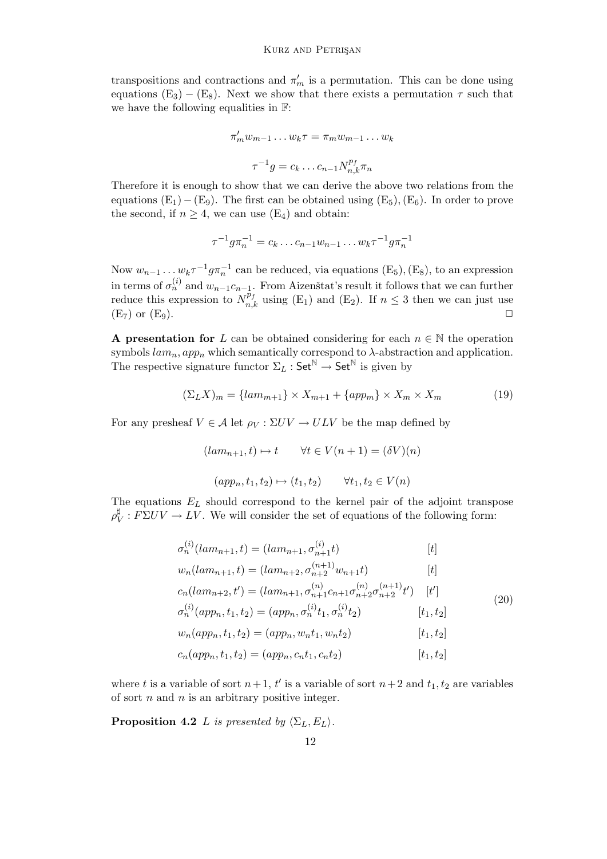transpositions and contractions and  $\pi'_m$  is a permutation. This can be done using equations  $(E_3) - (E_8)$ . Next we show that there exists a permutation  $\tau$  such that we have the following equalities in F:

$$
\pi'_m w_{m-1} \dots w_k \tau = \pi_m w_{m-1} \dots w_k
$$

$$
\tau^{-1} g = c_k \dots c_{n-1} N_{n,k}^{p_f} \pi_n
$$

Therefore it is enough to show that we can derive the above two relations from the equations  $(E_1) - (E_9)$ . The first can be obtained using  $(E_5)$ ,  $(E_6)$ . In order to prove the second, if  $n \geq 4$ , we can use  $(E_4)$  and obtain:

$$
\tau^{-1} g \pi_n^{-1} = c_k \dots c_{n-1} w_{n-1} \dots w_k \tau^{-1} g \pi_n^{-1}
$$

Now  $w_{n-1} \dots w_k \tau^{-1} g \pi_n^{-1}$  can be reduced, via equations  $(E_5)$ ,  $(E_8)$ , to an expression in terms of  $\sigma_n^{(i)}$  and  $w_{n-1}c_{n-1}$ . From Aizenstat's result it follows that we can further reduce this expression to  $N_{n,k}^{\bar{p}_f}$  using (E<sub>1</sub>) and (E<sub>2</sub>). If  $n \leq 3$  then we can just use  $(E_7)$  or  $(E_9)$ .

A presentation for L can be obtained considering for each  $n \in \mathbb{N}$  the operation symbols  $lam_n, app_n$  which semantically correspond to  $\lambda$ -abstraction and application. The respective signature functor  $\Sigma_L$ : Set<sup>N</sup>  $\rightarrow$  Set<sup>N</sup> is given by

$$
(\Sigma_L X)_m = \{lam_{m+1}\} \times X_{m+1} + \{app_m\} \times X_m \times X_m \tag{19}
$$

For any presheaf  $V \in \mathcal{A}$  let  $\rho_V : \Sigma UV \to ULV$  be the map defined by

<span id="page-11-0"></span> $(lam_{n+1}, t) \mapsto t \quad \forall t \in V (n+1) = (\delta V) (n)$  $(app_n, t_1, t_2) \mapsto (t_1, t_2) \quad \forall t_1, t_2 \in V(n)$ 

The equations  $E_L$  should correspond to the kernel pair of the adjoint transpose  $\rho_{\rm I}^{\sharp}$  $\frac{1}{V}$ :  $F\Sigma UV \rightarrow LV$ . We will consider the set of equations of the following form:

$$
\sigma_n^{(i)}(lam_{n+1}, t) = (lam_{n+1}, \sigma_{n+1}^{(i)} t)
$$
[t]  
\n
$$
w_n(lam_{n+1}, t) = (lam_{n+2}, \sigma_{n+2}^{(n+1)} w_{n+1}t)
$$
[t]  
\n
$$
c_n(lam_{n+2}, t') = (lam_{n+1}, \sigma_{n+1}^{(n)} c_{n+1}^{(n)} \sigma_{n+2}^{(n+1)} t')
$$
[t']  
\n
$$
\sigma_n^{(i)}(app_n, t_1, t_2) = (app_n, \sigma_n^{(i)} t_1, \sigma_n^{(i)} t_2)
$$
[t\_1, t\_2]  
\n
$$
w_n(ap_{n}, t_1, t_2) = (app_n, w_n t_1, w_n t_2)
$$
[t\_1, t\_2]  
\n
$$
c_n(ap_{n}, t_1, t_2) = (app_n, c_n t_1, c_n t_2)
$$
[t\_1, t\_2]

where t is a variable of sort  $n+1$ , t' is a variable of sort  $n+2$  and  $t_1, t_2$  are variables of sort  $n$  and  $n$  is an arbitrary positive integer.

**Proposition 4.2** L is presented by  $\langle \Sigma_L, E_L \rangle$ .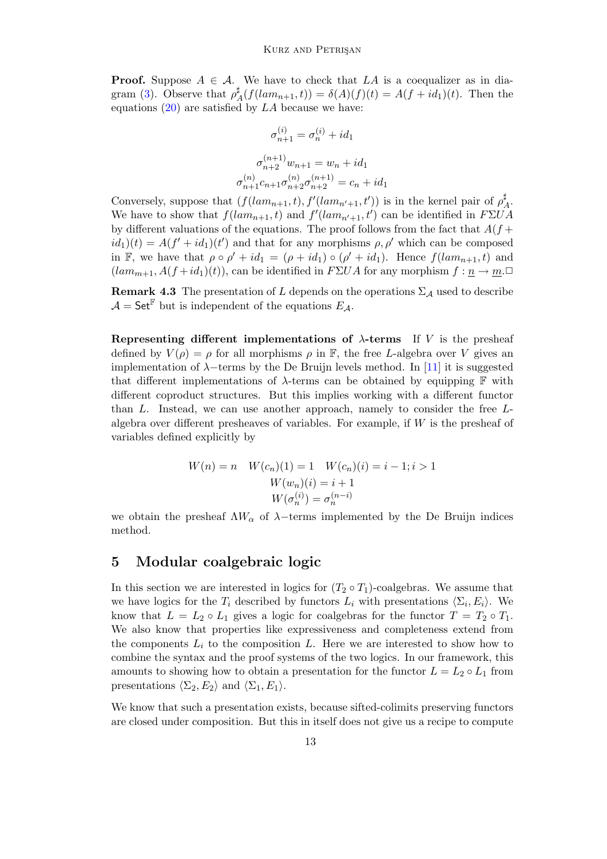**Proof.** Suppose  $A \in \mathcal{A}$ . We have to check that LA is a coequalizer as in dia-gram [\(3\)](#page-4-1). Observe that  $\rho^{\sharp}$  $A_A^{\mu}(f(lam_{n+1}, t)) = \delta(A)(f)(t) = A(f + id_1)(t)$ . Then the equations  $(20)$  are satisfied by LA because we have:

$$
\sigma_{n+1}^{(i)} = \sigma_n^{(i)} + id_1
$$

$$
\sigma_{n+2}^{(n+1)} w_{n+1} = w_n + id_1
$$

$$
\sigma_{n+1}^{(n)} c_{n+1}^{(n)} \sigma_{n+2}^{(n+1)} = c_n + id_1
$$

Conversely, suppose that  $(f(lam_{n+1}, t), f'(lam_{n'+1}, t'))$  is in the kernel pair of  $\rho^{\sharp}$  $A^{\sharp}$ We have to show that  $f(lam_{n+1}, t)$  and  $f'(lam_{n'+1}, t')$  can be identified in  $F\Sigma UA$ by different valuations of the equations. The proof follows from the fact that  $A(f +$  $id_1(t) = A(f' + id_1)(t')$  and that for any morphisms  $\rho, \rho'$  which can be composed in F, we have that  $\rho \circ \rho' + id_1 = (\rho + id_1) \circ (\rho' + id_1)$ . Hence  $f(lam_{n+1}, t)$  and  $(lam_{m+1}, A(f+id_1)(t))$ , can be identified in  $F\Sigma UA$  for any morphism  $f: \underline{n} \to \underline{m}$ .

**Remark 4.3** The presentation of L depends on the operations  $\Sigma_A$  used to describe  $\mathcal{A} = \mathsf{Set}^{\mathbb{F}}$  but is independent of the equations  $E_{\mathcal{A}}$ .

Representing different implementations of  $\lambda$ -terms If V is the presheaf defined by  $V(\rho) = \rho$  for all morphisms  $\rho$  in  $\mathbb{F}$ , the free L-algebra over V gives an implementation of  $\lambda$ −terms by the De Bruijn levels method. In [\[11\]](#page-18-6) it is suggested that different implementations of  $\lambda$ -terms can be obtained by equipping  $\mathbb F$  with different coproduct structures. But this implies working with a different functor than L. Instead, we can use another approach, namely to consider the free Lalgebra over different presheaves of variables. For example, if  $W$  is the presheaf of variables defined explicitly by

$$
W(n) = n \quad W(c_n)(1) = 1 \quad W(c_n)(i) = i - 1; i > 1
$$

$$
W(w_n)(i) = i + 1
$$

$$
W(\sigma_n^{(i)}) = \sigma_n^{(n-i)}
$$

we obtain the presheaf  $\Lambda W_{\alpha}$  of  $\lambda$ -terms implemented by the De Bruijn indices method.

#### <span id="page-12-0"></span>5 Modular coalgebraic logic

In this section we are interested in logics for  $(T_2 \circ T_1)$ -coalgebras. We assume that we have logics for the  $T_i$  described by functors  $L_i$  with presentations  $\langle \Sigma_i, E_i \rangle$ . We know that  $L = L_2 \circ L_1$  gives a logic for coalgebras for the functor  $T = T_2 \circ T_1$ . We also know that properties like expressiveness and completeness extend from the components  $L_i$  to the composition L. Here we are interested to show how to combine the syntax and the proof systems of the two logics. In our framework, this amounts to showing how to obtain a presentation for the functor  $L = L_2 \circ L_1$  from presentations  $\langle \Sigma_2, E_2 \rangle$  and  $\langle \Sigma_1, E_1 \rangle$ .

We know that such a presentation exists, because sifted-colimits preserving functors are closed under composition. But this in itself does not give us a recipe to compute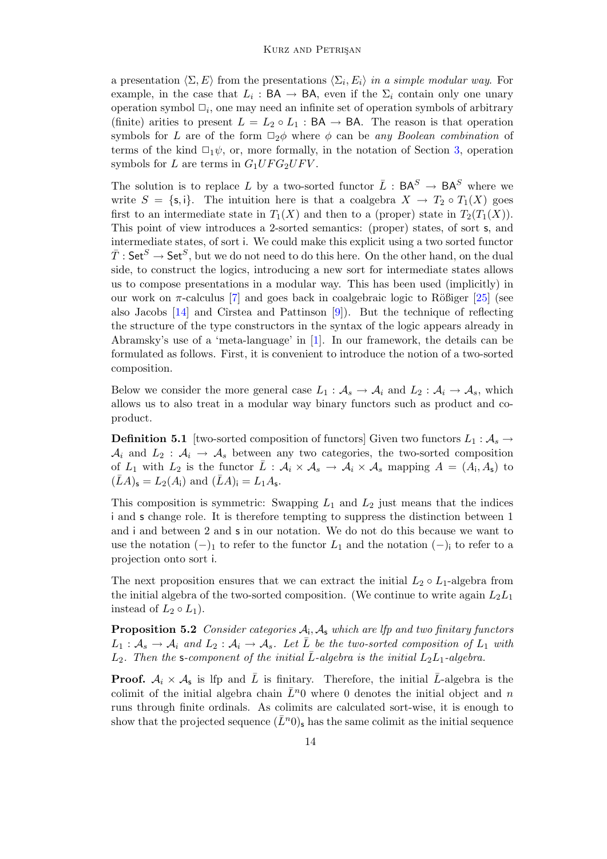a presentation  $\langle \Sigma, E \rangle$  from the presentations  $\langle \Sigma_i, E_i \rangle$  in a simple modular way. For example, in the case that  $L_i : BA \to BA$ , even if the  $\Sigma_i$  contain only one unary operation symbol  $\Box_i$ , one may need an infinite set of operation symbols of arbitrary (finite) arities to present  $L = L_2 \circ L_1 : BA \to BA$ . The reason is that operation symbols for L are of the form  $\Box_2\phi$  where  $\phi$  can be any Boolean combination of terms of the kind  $\Box_1 \psi$ , or, more formally, in the notation of Section [3,](#page-3-0) operation symbols for L are terms in  $G_1 UFG_2 UF V$ .

The solution is to replace L by a two-sorted functor  $\overline{L}$  :  $\mathsf{BA}^S \to \mathsf{BA}^S$  where we write  $S = \{s, i\}$ . The intuition here is that a coalgebra  $X \to T_2 \circ T_1(X)$  goes first to an intermediate state in  $T_1(X)$  and then to a (proper) state in  $T_2(T_1(X))$ . This point of view introduces a 2-sorted semantics: (proper) states, of sort s, and intermediate states, of sort i. We could make this explicit using a two sorted functor  $\bar{T}:\mathsf{Set}^S\to\mathsf{Set}^S,$  but we do not need to do this here. On the other hand, on the dual side, to construct the logics, introducing a new sort for intermediate states allows us to compose presentations in a modular way. This has been used (implicitly) in our work on  $\pi$ -calculus [\[7\]](#page-17-5) and goes back in coalgebraic logic to Rößiger [\[25\]](#page-18-11) (see also Jacobs  $[14]$  and Cîrstea and Pattinson  $[9]$ . But the technique of reflecting the structure of the type constructors in the syntax of the logic appears already in Abramsky's use of a 'meta-language' in [\[1\]](#page-17-7). In our framework, the details can be formulated as follows. First, it is convenient to introduce the notion of a two-sorted composition.

Below we consider the more general case  $L_1 : A_s \to A_i$  and  $L_2 : A_i \to A_s$ , which allows us to also treat in a modular way binary functors such as product and coproduct.

**Definition 5.1** [two-sorted composition of functors] Given two functors  $L_1 : A_s \to$  $A_i$  and  $L_2$ :  $A_i \rightarrow A_s$  between any two categories, the two-sorted composition of  $L_1$  with  $L_2$  is the functor  $\bar{L}$  :  $\mathcal{A}_i \times \mathcal{A}_s \to \mathcal{A}_i \times \mathcal{A}_s$  mapping  $A = (A_i, A_s)$  to  $(\bar{L}A)_{\mathsf{s}} = L_2(A_{\mathsf{i}})$  and  $(\bar{L}A)_{\mathsf{i}} = L_1A_{\mathsf{s}}$ .

This composition is symmetric: Swapping  $L_1$  and  $L_2$  just means that the indices i and s change role. It is therefore tempting to suppress the distinction between 1 and i and between 2 and s in our notation. We do not do this because we want to use the notation  $(-)$ <sub>1</sub> to refer to the functor  $L_1$  and the notation  $(-)$ <sub>i</sub> to refer to a projection onto sort i.

The next proposition ensures that we can extract the initial  $L_2 \circ L_1$ -algebra from the initial algebra of the two-sorted composition. (We continue to write again  $L_2L_1$ instead of  $L_2 \circ L_1$ ).

**Proposition 5.2** Consider categories  $A_i$ ,  $A_s$  which are lfp and two finitary functors  $L_1: \mathcal{A}_s \to \mathcal{A}_i$  and  $L_2: \mathcal{A}_i \to \mathcal{A}_s$ . Let  $\overline{L}$  be the two-sorted composition of  $L_1$  with  $L_2$ . Then the s-component of the initial  $\overline{L}$ -algebra is the initial  $L_2L_1$ -algebra.

**Proof.**  $A_i \times A_s$  is lfp and  $\overline{L}$  is finitary. Therefore, the initial  $\overline{L}$ -algebra is the colimit of the initial algebra chain  $\bar{L}^n$ 0 where 0 denotes the initial object and n runs through finite ordinals. As colimits are calculated sort-wise, it is enough to show that the projected sequence  $(\bar{L}^n)$  has the same colimit as the initial sequence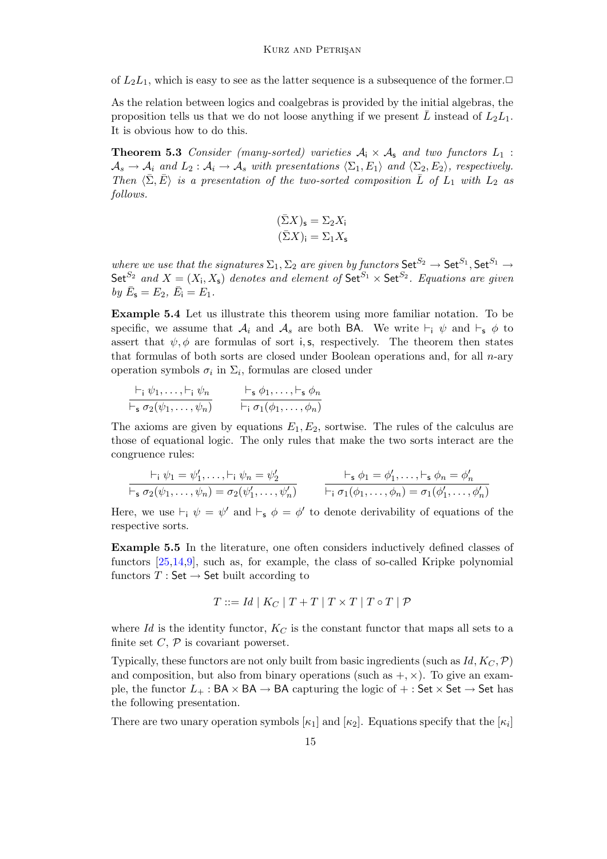of  $L_2L_1$ , which is easy to see as the latter sequence is a subsequence of the former. $\Box$ 

As the relation between logics and coalgebras is provided by the initial algebras, the proposition tells us that we do not loose anything if we present  $\overline{L}$  instead of  $L_2L_1$ . It is obvious how to do this.

<span id="page-14-0"></span>**Theorem 5.3** Consider (many-sorted) varieties  $A_i \times A_s$  and two functors  $L_1$ :  $\mathcal{A}_s \to \mathcal{A}_i$  and  $L_2 : \mathcal{A}_i \to \mathcal{A}_s$  with presentations  $\langle \Sigma_1, E_1 \rangle$  and  $\langle \Sigma_2, E_2 \rangle$ , respectively. Then  $\langle \bar{\Sigma}, \bar{E} \rangle$  is a presentation of the two-sorted composition  $\bar{L}$  of  $L_1$  with  $L_2$  as follows.

$$
\begin{aligned} (\bar{\Sigma}X)_\mathsf{s} &= \Sigma_2 X_\mathsf{i} \\ (\bar{\Sigma}X)_\mathsf{i} &= \Sigma_1 X_\mathsf{s} \end{aligned}
$$

where we use that the signatures  $\Sigma_1$ ,  $\Sigma_2$  are given by functors  $\mathsf{Set}^{S_2} \to \mathsf{Set}^{S_1}$ ,  $\mathsf{Set}^{S_1} \to$ Set<sup>S<sub>2</sub></sup> and  $X = (X_i, X_s)$  denotes and element of Set<sup>S<sub>1</sub></sup>  $\times$  Set<sup>S<sub>2</sub></sup>. Equations are given by  $\bar{E}_5 = E_2, \ \bar{E}_i = E_1.$ 

Example 5.4 Let us illustrate this theorem using more familiar notation. To be specific, we assume that  $\mathcal{A}_i$  and  $\mathcal{A}_s$  are both BA. We write  $\vdash_i \psi$  and  $\vdash_s \phi$  to assert that  $\psi$ ,  $\phi$  are formulas of sort i, s, respectively. The theorem then states that formulas of both sorts are closed under Boolean operations and, for all  $n$ -ary operation symbols  $\sigma_i$  in  $\Sigma_i$ , formulas are closed under

$$
\frac{\vdash_i \psi_1, \ldots, \vdash_i \psi_n}{\vdash_s \sigma_2(\psi_1, \ldots, \psi_n)} \qquad \frac{\vdash_s \phi_1, \ldots, \vdash_s \phi_n}{\vdash_i \sigma_1(\phi_1, \ldots, \phi_n)}
$$

The axioms are given by equations  $E_1, E_2$ , sortwise. The rules of the calculus are those of equational logic. The only rules that make the two sorts interact are the congruence rules:

$$
\vdash_i \psi_1 = \psi'_1, \ldots, \vdash_i \psi_n = \psi'_2
$$
\n
$$
\vdash_{\mathsf{s}} \phi_1 = \phi'_1, \ldots, \vdash_{\mathsf{s}} \phi_n = \phi'_n
$$
\n
$$
\vdash_{\mathsf{s}} \sigma_2(\psi_1, \ldots, \psi_n) = \sigma_2(\psi'_1, \ldots, \psi'_n)
$$
\n
$$
\vdash_i \sigma_1(\phi_1, \ldots, \phi_n) = \sigma_1(\phi'_1, \ldots, \phi'_n)
$$

Here, we use  $\vdash_i \psi = \psi'$  and  $\vdash_s \phi = \phi'$  to denote derivability of equations of the respective sorts.

Example 5.5 In the literature, one often considers inductively defined classes of functors [\[25](#page-18-11)[,14](#page-18-12)[,9\]](#page-17-6), such as, for example, the class of so-called Kripke polynomial functors  $T : Set \rightarrow Set$  built according to

$$
T ::= Id \mid K_C \mid T + T \mid T \times T \mid T \circ T \mid \mathcal{P}
$$

where Id is the identity functor,  $K_C$  is the constant functor that maps all sets to a finite set  $C, \mathcal{P}$  is covariant powerset.

Typically, these functors are not only built from basic ingredients (such as  $Id, K_C, \mathcal{P}$ ) and composition, but also from binary operations (such as  $+, \times$ ). To give an example, the functor  $L_+$ : BA × BA → BA capturing the logic of  $+$ : Set × Set → Set has the following presentation.

There are two unary operation symbols  $[\kappa_1]$  and  $[\kappa_2]$ . Equations specify that the  $[\kappa_i]$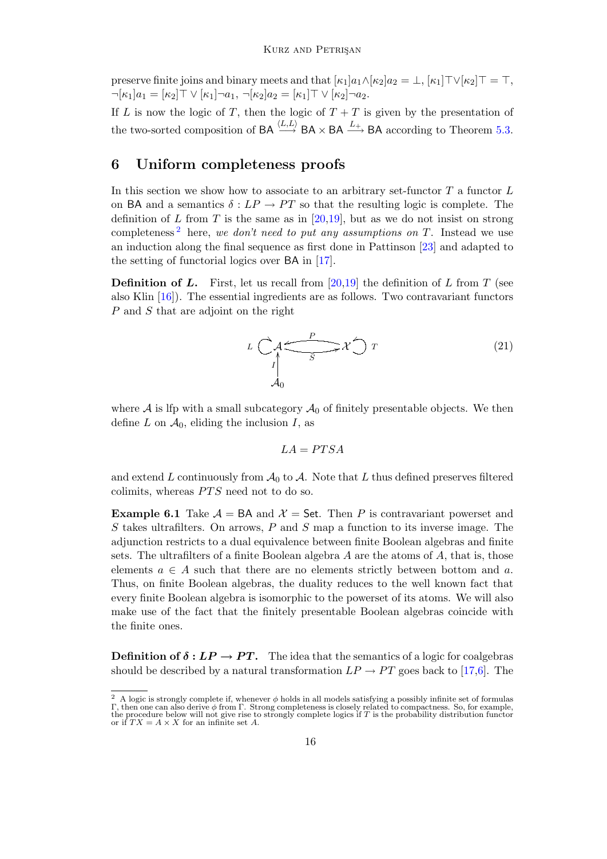preserve finite joins and binary meets and that  $[\kappa_1]a_1\wedge[\kappa_2]a_2 = \perp, [\kappa_1]\top\vee[\kappa_2]\top = \top$ ,  $\neg[\kappa_1]a_1 = [\kappa_2]\top \vee [\kappa_1]\neg a_1, \neg[\kappa_2]a_2 = [\kappa_1]\top \vee [\kappa_2]\neg a_2.$ 

If L is now the logic of T, then the logic of  $T + T$  is given by the presentation of the two-sorted composition of  $BA \stackrel{(L,L)}{\longrightarrow} BA \times BA \stackrel{L_+}{\longrightarrow} BA$  according to Theorem [5.3.](#page-14-0)

# <span id="page-15-0"></span>6 Uniform completeness proofs

In this section we show how to associate to an arbitrary set-functor  $T$  a functor  $L$ on BA and a semantics  $\delta : LP \to PT$  so that the resulting logic is complete. The definition of L from T is the same as in [\[20](#page-18-4)[,19\]](#page-18-13), but as we do not insist on strong completeness<sup>[2](#page-15-1)</sup> here, we don't need to put any assumptions on  $T$ . Instead we use an induction along the final sequence as first done in Pattinson [\[23\]](#page-18-14) and adapted to the setting of functorial logics over BA in [\[17\]](#page-18-0).

**Definition of L.** First, let us recall from [\[20](#page-18-4)[,19\]](#page-18-13) the definition of L from T (see also Klin  $[16]$ . The essential ingredients are as follows. Two contravariant functors P and S that are adjoint on the right

$$
L\left(\bigvee_{\begin{subarray}{c}\uparrow\\I\\ \hline \downarrow\\ \hline \downarrow\\ A_0\end{subarray}}\right)^{P} \mathcal{X}\bigcirc T\tag{21}
$$

where  $A$  is lfp with a small subcategory  $A_0$  of finitely presentable objects. We then define L on  $\mathcal{A}_0$ , eliding the inclusion I, as

$$
LA = PTSA
$$

and extend L continuously from  $\mathcal{A}_0$  to  $\mathcal{A}$ . Note that L thus defined preserves filtered colimits, whereas  $PTS$  need not to do so.

<span id="page-15-2"></span>**Example 6.1** Take  $\mathcal{A} = BA$  and  $\mathcal{X} = \mathsf{Set}$ . Then P is contravariant powerset and  $S$  takes ultrafilters. On arrows,  $P$  and  $S$  map a function to its inverse image. The adjunction restricts to a dual equivalence between finite Boolean algebras and finite sets. The ultrafilters of a finite Boolean algebra  $A$  are the atoms of  $A$ , that is, those elements  $a \in A$  such that there are no elements strictly between bottom and a. Thus, on finite Boolean algebras, the duality reduces to the well known fact that every finite Boolean algebra is isomorphic to the powerset of its atoms. We will also make use of the fact that the finitely presentable Boolean algebras coincide with the finite ones.

**Definition of**  $\delta : LP \to PT$ **.** The idea that the semantics of a logic for coalgebras should be described by a natural transformation  $LP \rightarrow PT$  goes back to [\[17,](#page-18-0)[6\]](#page-17-0). The

<span id="page-15-1"></span><sup>&</sup>lt;sup>2</sup> A logic is strongly complete if, whenever  $\phi$  holds in all models satisfying a possibly infinite set of formulas  $\Gamma$ , then one can also derive  $\phi$  from  $\Gamma$ . Strong completeness is closely related to compactness. S the procedure below will not give rise to strongly complete logics if T is the probability distribution functor or if  $TX = A \times X$  for an infinite set A.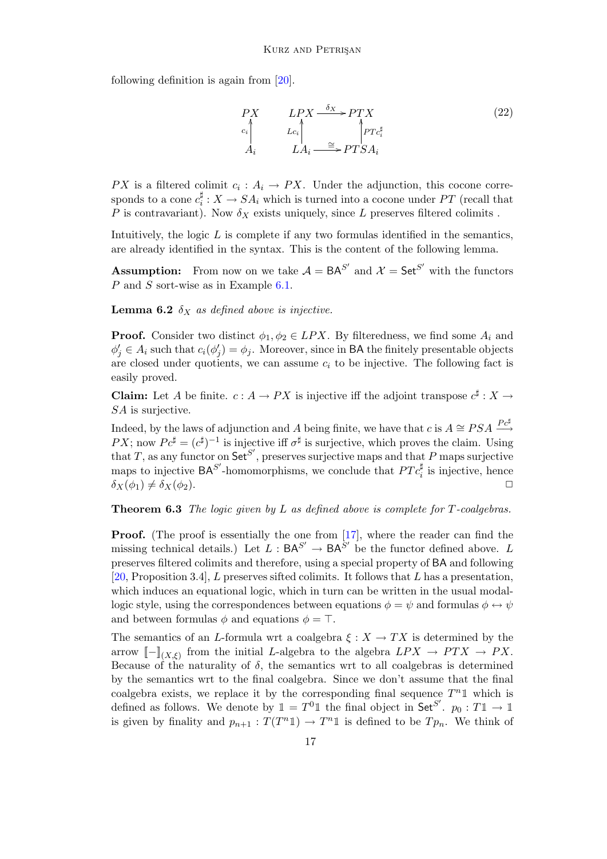following definition is again from [\[20\]](#page-18-4).

$$
\begin{array}{ccc}\nPX & LPX \xrightarrow{\delta_X} PTX \\
c_i & Lc_i & PTc_i^{\sharp} \\
A_i & LA_i \xrightarrow{\cong} PTSA_i\n\end{array} \tag{22}
$$

PX is a filtered colimit  $c_i : A_i \to PX$ . Under the adjunction, this cocone corresponds to a cone  $c_i^{\sharp}$  $a_i^{\sharp}: X \to SA_i$  which is turned into a cocone under PT (recall that P is contravariant). Now  $\delta_X$  exists uniquely, since L preserves filtered colimits.

Intuitively, the logic  $L$  is complete if any two formulas identified in the semantics, are already identified in the syntax. This is the content of the following lemma.

**Assumption:** From now on we take  $A = BA^{S'}$  and  $\mathcal{X} = \mathsf{Set}^{S'}$  with the functors P and S sort-wise as in Example [6.1.](#page-15-2)

**Lemma 6.2**  $\delta_X$  as defined above is injective.

**Proof.** Consider two distinct  $\phi_1, \phi_2 \in LPX$ . By filteredness, we find some  $A_i$  and  $\phi'_j \in A_i$  such that  $c_i(\phi'_j) = \phi_j$ . Moreover, since in **BA** the finitely presentable objects are closed under quotients, we can assume  $c_i$  to be injective. The following fact is easily proved.

**Claim:** Let A be finite.  $c: A \to PX$  is injective iff the adjoint transpose  $c^{\sharp}: X \to Y$ SA is surjective.

Indeed, by the laws of adjunction and A being finite, we have that  $c$  is  $A \cong PSA \stackrel{P c^{\sharp}}{\longrightarrow}$ PX; now  $P c^{\sharp} = (c^{\sharp})^{-1}$  is injective iff  $\sigma^{\sharp}$  is surjective, which proves the claim. Using that T, as any functor on  $\mathsf{Set}^{S'}$ , preserves surjective maps and that P maps surjective maps to injective  $\mathsf{BA}^{S'}$ -homomorphisms, we conclude that  $PTc_i^{\sharp}$  is injective, hence  $\delta_X(\phi_1) \neq \delta_X(\phi_2).$ 

**Theorem 6.3** The logic given by L as defined above is complete for  $T$ -coalgebras.

**Proof.** (The proof is essentially the one from [\[17\]](#page-18-0), where the reader can find the missing technical details.) Let  $L : BA^{S'} \to BA^{S'}$  be the functor defined above. L preserves filtered colimits and therefore, using a special property of BA and following [\[20,](#page-18-4) Proposition 3.4], L preserves sifted colimits. It follows that L has a presentation, which induces an equational logic, which in turn can be written in the usual modallogic style, using the correspondences between equations  $\phi = \psi$  and formulas  $\phi \leftrightarrow \psi$ and between formulas  $\phi$  and equations  $\phi = \top$ .

The semantics of an L-formula wrt a coalgebra  $\xi : X \to TX$  is determined by the arrow  $\llbracket - \rrbracket_{(X,\xi)}$  from the initial L-algebra to the algebra  $LPX \to PTX \to PX$ . Because of the naturality of  $\delta$ , the semantics wrt to all coalgebras is determined by the semantics wrt to the final coalgebra. Since we don't assume that the final coalgebra exists, we replace it by the corresponding final sequence  $T^n \mathbb{1}$  which is defined as follows. We denote by  $\mathbb{1} = T^0 \mathbb{1}$  the final object in Set<sup>S'</sup>.  $p_0: T \mathbb{1} \to \mathbb{1}$ is given by finality and  $p_{n+1} : T(T^n \mathbb{1}) \to T^n \mathbb{1}$  is defined to be  $T p_n$ . We think of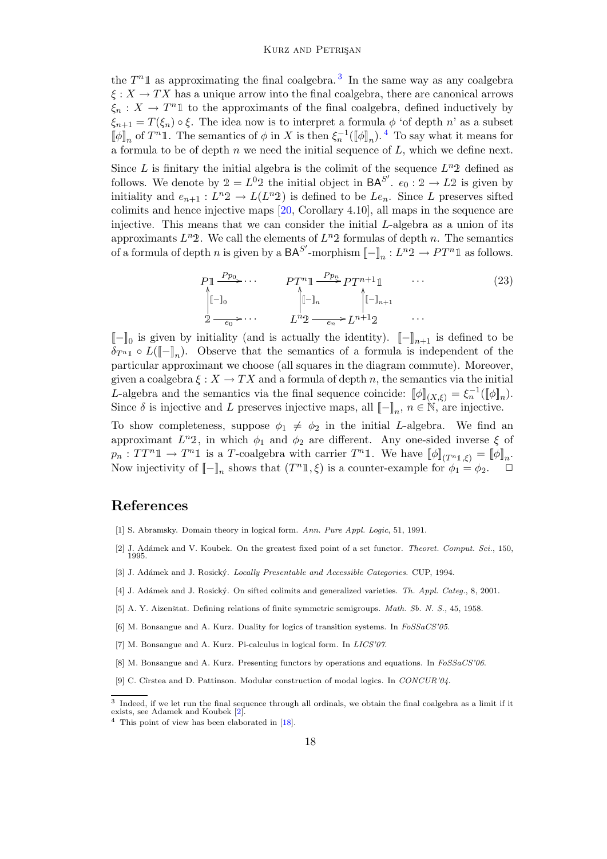the  $T^n \mathbb{1}$  as approximating the final coalgebra.<sup>[3](#page-17-8)</sup> In the same way as any coalgebra  $\xi: X \to TX$  has a unique arrow into the final coalgebra, there are canonical arrows  $\xi_n: X \to T^n \mathbb{1}$  to the approximants of the final coalgebra, defined inductively by  $\xi_{n+1} = T(\xi_n) \circ \xi$ . The idea now is to interpret a formula  $\phi$  'of depth n' as a subset  $[\![\phi]\!]_n$  of  $T^n \mathbb{1}$ . The semantics of  $\phi$  in X is then  $\xi_n^{-1}([\![\phi]\!]_n)$ . <sup>[4](#page-17-9)</sup> To say what it means for a formula to be of depth  $n$  we need the initial sequence of  $L$ , which we define next.

Since L is finitary the initial algebra is the colimit of the sequence  $L^n 2$  defined as follows. We denote by  $2 = L^0 2$  the initial object in  $BA^{S'}$ .  $e_0 : 2 \to L2$  is given by initiality and  $e_{n+1}: L^n 2 \to L(L^n 2)$  is defined to be  $Le_n$ . Since L preserves sifted colimits and hence injective maps [\[20,](#page-18-4) Corollary 4.10], all maps in the sequence are injective. This means that we can consider the initial L-algebra as a union of its approximants  $L^n 2$ . We call the elements of  $L^n 2$  formulas of depth n. The semantics of a formula of depth n is given by a  $BA^{S'}$ -morphism  $[-]_n : L^n \mathcal{D} \to PT^n \mathbb{1}$  as follows.

$$
P_{\mathbb{1}} \xrightarrow{P_{p_0}} \cdots \qquad P_{\mathbb{1}} \xrightarrow{P_{p_n}} P_{\mathbb{1}} \xrightarrow{P_{n+1}} \cdots \qquad (23)
$$
\n
$$
\downarrow \qquad \qquad \downarrow \qquad \qquad \downarrow \qquad \qquad \downarrow \qquad \qquad \downarrow \qquad (24)
$$
\n
$$
2 \xrightarrow{-e_0} \cdots \qquad L^n 2 \xrightarrow{-e_n} L^{n+1} 2 \qquad \cdots
$$

 $[-]_0$  is given by initiality (and is actually the identity).  $[-]_{n+1}$  is defined to be  $\delta_{T^{n}1} \circ L([\![-]\!]_n)$ . Observe that the semantics of a formula is independent of the particular approximant we choose (all squares in the diagram commute). Moreover, given a coalgebra  $\xi: X \to TX$  and a formula of depth n, the semantics via the initial L-algebra and the semantics via the final sequence coincide:  $[\![\phi]\!]_{(X,\xi)} = \xi_n^{-1}([\![\phi]\!]_n)$ . Since  $\delta$  is injective and L preserves injective maps, all  $[-]_n$ ,  $n \in \mathbb{N}$ , are injective.

To show completeness, suppose  $\phi_1 \neq \phi_2$  in the initial L-algebra. We find an approximant  $L^n 2$ , in which  $\phi_1$  and  $\phi_2$  are different. Any one-sided inverse  $\xi$  of  $p_n: TT^n \mathbb{1} \to T^n \mathbb{1}$  is a T-coalgebra with carrier  $T^n \mathbb{1}$ . We have  $[\![\phi]\!]_{(T^n \mathbb{1}, \xi)} = [\![\phi]\!]_n$ . Now injectivity of  $[-]_n$  shows that  $(T^n 1, \xi)$  is a counter-example for  $\phi_1 = \phi_2$ .

### References

- <span id="page-17-7"></span>[1] S. Abramsky. Domain theory in logical form. Ann. Pure Appl. Logic, 51, 1991.
- <span id="page-17-10"></span>[2] J. Adámek and V. Koubek. On the greatest fixed point of a set functor. *Theoret. Comput. Sci.*, 150, 1995.
- <span id="page-17-3"></span>[3] J. Adámek and J. Rosický. Locally Presentable and Accessible Categories. CUP, 1994.
- <span id="page-17-4"></span>[4] J. Adámek and J. Rosický. On sifted colimits and generalized varieties. Th. Appl. Categ., 8, 2001.
- <span id="page-17-2"></span>[5] A. Y. Aizenštat. Defining relations of finite symmetric semigroups. Math. Sb. N. S., 45, 1958.
- <span id="page-17-0"></span>[6] M. Bonsangue and A. Kurz. Duality for logics of transition systems. In FoSSaCS'05.
- <span id="page-17-5"></span>[7] M. Bonsangue and A. Kurz. Pi-calculus in logical form. In LICS'07.
- <span id="page-17-1"></span>[8] M. Bonsangue and A. Kurz. Presenting functors by operations and equations. In  $FoSSaCS'06$ .
- <span id="page-17-6"></span>[9] C. Cîrstea and D. Pattinson. Modular construction of modal logics. In CONCUR'04.

<span id="page-17-8"></span><sup>3</sup> Indeed, if we let run the final sequence through all ordinals, we obtain the final coalgebra as a limit if it exists, see Adamek and Koubek [\[2\]](#page-17-10).

<span id="page-17-9"></span><sup>4</sup> This point of view has been elaborated in [\[18\]](#page-18-16).